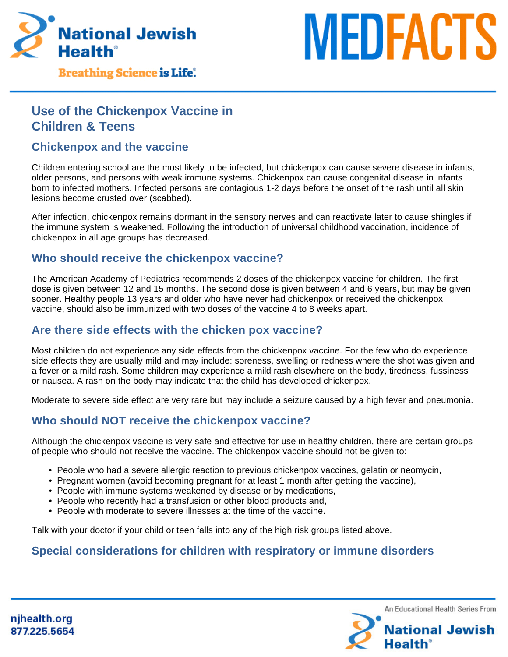

## **Breathing Science is Life.**

# **Use of the Chickenpox Vaccine in Children & Teens**

#### **Chickenpox and the vaccine**

Children entering school are the most likely to be infected, but chickenpox can cause severe disease in infants, older persons, and persons with weak immune systems. Chickenpox can cause congenital disease in infants born to infected mothers. Infected persons are contagious 1-2 days before the onset of the rash until all skin lesions become crusted over (scabbed).

After infection, chickenpox remains dormant in the sensory nerves and can reactivate later to cause shingles if the immune system is weakened. Following the introduction of universal childhood vaccination, incidence of chickenpox in all age groups has decreased.

### **Who should receive the chickenpox vaccine?**

The American Academy of Pediatrics recommends 2 doses of the chickenpox vaccine for children. The first dose is given between 12 and 15 months. The second dose is given between 4 and 6 years, but may be given sooner. Healthy people 13 years and older who have never had chickenpox or received the chickenpox vaccine, should also be immunized with two doses of the vaccine 4 to 8 weeks apart.

#### **Are there side effects with the chicken pox vaccine?**

Most children do not experience any side effects from the chickenpox vaccine. For the few who do experience side effects they are usually mild and may include: soreness, swelling or redness where the shot was given and a fever or a mild rash. Some children may experience a mild rash elsewhere on the body, tiredness, fussiness or nausea. A rash on the body may indicate that the child has developed chickenpox.

Moderate to severe side effect are very rare but may include a seizure caused by a high fever and pneumonia.

# **Who should NOT receive the chickenpox vaccine?**

Although the chickenpox vaccine is very safe and effective for use in healthy children, there are certain groups of people who should not receive the vaccine. The chickenpox vaccine should not be given to:

- People who had a severe allergic reaction to previous chickenpox vaccines, gelatin or neomycin,
- Pregnant women (avoid becoming pregnant for at least 1 month after getting the vaccine),
- People with immune systems weakened by disease or by medications,
- People who recently had a transfusion or other blood products and,
- People with moderate to severe illnesses at the time of the vaccine.

Talk with your doctor if your child or teen falls into any of the high risk groups listed above.

# **Special considerations for children with respiratory or immune disorders**



**MEDFACTS**